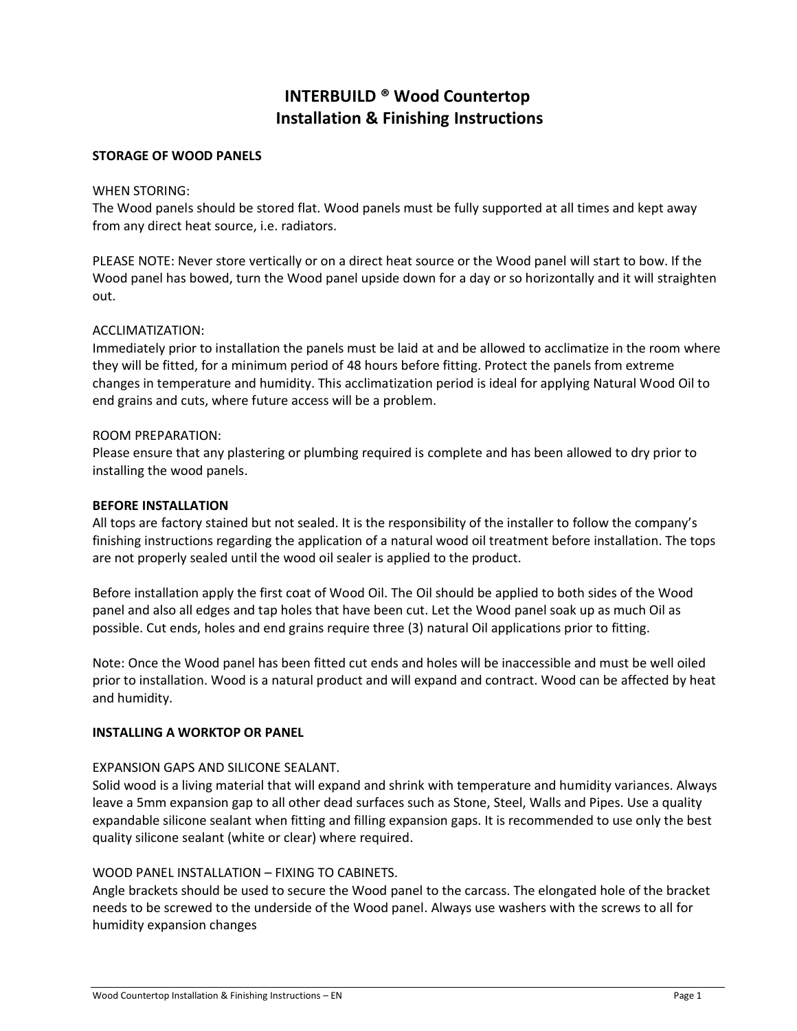# **INTERBUILD ® Wood Countertop Installation & Finishing Instructions**

#### **STORAGE OF WOOD PANELS**

#### WHEN STORING:

The Wood panels should be stored flat. Wood panels must be fully supported at all times and kept away from any direct heat source, i.e. radiators.

PLEASE NOTE: Never store vertically or on a direct heat source or the Wood panel will start to bow. If the Wood panel has bowed, turn the Wood panel upside down for a day or so horizontally and it will straighten out.

#### ACCLIMATIZATION:

Immediately prior to installation the panels must be laid at and be allowed to acclimatize in the room where they will be fitted, for a minimum period of 48 hours before fitting. Protect the panels from extreme changes in temperature and humidity. This acclimatization period is ideal for applying Natural Wood Oil to end grains and cuts, where future access will be a problem.

#### ROOM PREPARATION:

Please ensure that any plastering or plumbing required is complete and has been allowed to dry prior to installing the wood panels.

#### **BEFORE INSTALLATION**

All tops are factory stained but not sealed. It is the responsibility of the installer to follow the company's finishing instructions regarding the application of a natural wood oil treatment before installation. The tops are not properly sealed until the wood oil sealer is applied to the product.

Before installation apply the first coat of Wood Oil. The Oil should be applied to both sides of the Wood panel and also all edges and tap holes that have been cut. Let the Wood panel soak up as much Oil as possible. Cut ends, holes and end grains require three (3) natural Oil applications prior to fitting.

Note: Once the Wood panel has been fitted cut ends and holes will be inaccessible and must be well oiled prior to installation. Wood is a natural product and will expand and contract. Wood can be affected by heat and humidity.

#### **INSTALLING A WORKTOP OR PANEL**

#### EXPANSION GAPS AND SILICONE SEALANT.

Solid wood is a living material that will expand and shrink with temperature and humidity variances. Always leave a 5mm expansion gap to all other dead surfaces such as Stone, Steel, Walls and Pipes. Use a quality expandable silicone sealant when fitting and filling expansion gaps. It is recommended to use only the best quality silicone sealant (white or clear) where required.

#### WOOD PANEL INSTALLATION – FIXING TO CABINETS.

Angle brackets should be used to secure the Wood panel to the carcass. The elongated hole of the bracket needs to be screwed to the underside of the Wood panel. Always use washers with the screws to all for humidity expansion changes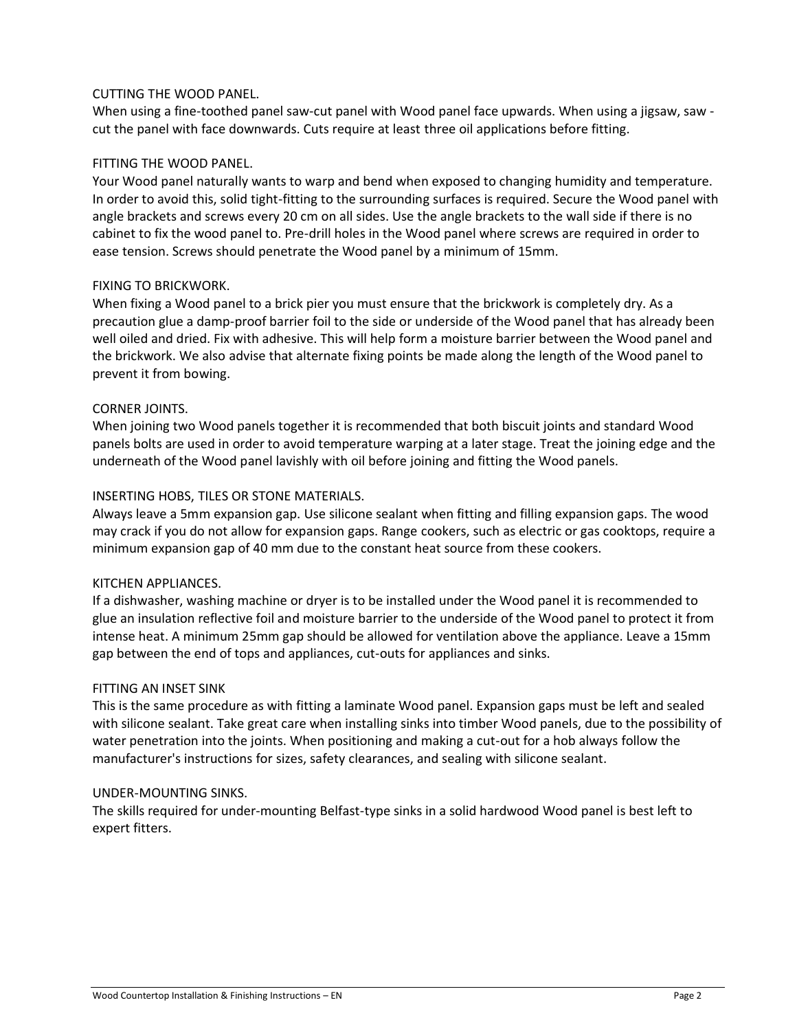## CUTTING THE WOOD PANEL.

When using a fine-toothed panel saw-cut panel with Wood panel face upwards. When using a jigsaw, saw cut the panel with face downwards. Cuts require at least three oil applications before fitting.

## FITTING THE WOOD PANEL.

Your Wood panel naturally wants to warp and bend when exposed to changing humidity and temperature. In order to avoid this, solid tight-fitting to the surrounding surfaces is required. Secure the Wood panel with angle brackets and screws every 20 cm on all sides. Use the angle brackets to the wall side if there is no cabinet to fix the wood panel to. Pre-drill holes in the Wood panel where screws are required in order to ease tension. Screws should penetrate the Wood panel by a minimum of 15mm.

## FIXING TO BRICKWORK.

When fixing a Wood panel to a brick pier you must ensure that the brickwork is completely dry. As a precaution glue a damp-proof barrier foil to the side or underside of the Wood panel that has already been well oiled and dried. Fix with adhesive. This will help form a moisture barrier between the Wood panel and the brickwork. We also advise that alternate fixing points be made along the length of the Wood panel to prevent it from bowing.

## CORNER JOINTS.

When joining two Wood panels together it is recommended that both biscuit joints and standard Wood panels bolts are used in order to avoid temperature warping at a later stage. Treat the joining edge and the underneath of the Wood panel lavishly with oil before joining and fitting the Wood panels.

## INSERTING HOBS, TILES OR STONE MATERIALS.

Always leave a 5mm expansion gap. Use silicone sealant when fitting and filling expansion gaps. The wood may crack if you do not allow for expansion gaps. Range cookers, such as electric or gas cooktops, require a minimum expansion gap of 40 mm due to the constant heat source from these cookers.

#### KITCHEN APPLIANCES.

If a dishwasher, washing machine or dryer is to be installed under the Wood panel it is recommended to glue an insulation reflective foil and moisture barrier to the underside of the Wood panel to protect it from intense heat. A minimum 25mm gap should be allowed for ventilation above the appliance. Leave a 15mm gap between the end of tops and appliances, cut-outs for appliances and sinks.

#### FITTING AN INSET SINK

This is the same procedure as with fitting a laminate Wood panel. Expansion gaps must be left and sealed with silicone sealant. Take great care when installing sinks into timber Wood panels, due to the possibility of water penetration into the joints. When positioning and making a cut-out for a hob always follow the manufacturer's instructions for sizes, safety clearances, and sealing with silicone sealant.

#### UNDER-MOUNTING SINKS.

The skills required for under-mounting Belfast-type sinks in a solid hardwood Wood panel is best left to expert fitters.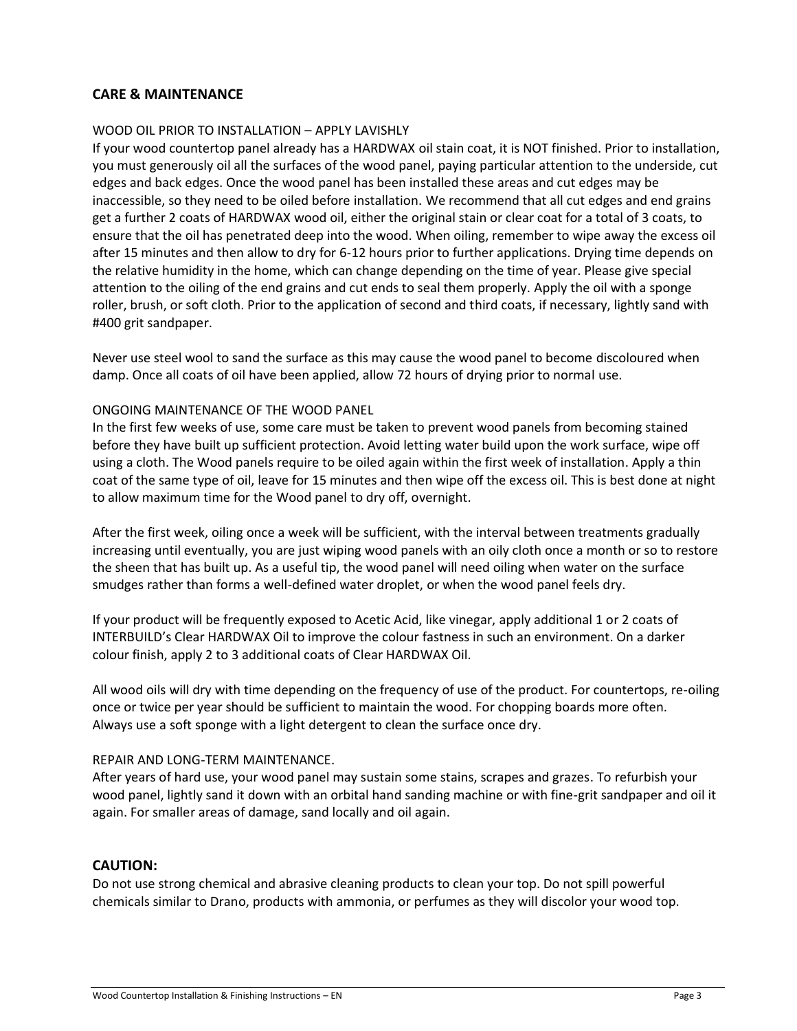## **CARE & MAINTENANCE**

#### WOOD OIL PRIOR TO INSTALLATION – APPLY LAVISHLY

If your wood countertop panel already has a HARDWAX oil stain coat, it is NOT finished. Prior to installation, you must generously oil all the surfaces of the wood panel, paying particular attention to the underside, cut edges and back edges. Once the wood panel has been installed these areas and cut edges may be inaccessible, so they need to be oiled before installation. We recommend that all cut edges and end grains get a further 2 coats of HARDWAX wood oil, either the original stain or clear coat for a total of 3 coats, to ensure that the oil has penetrated deep into the wood. When oiling, remember to wipe away the excess oil after 15 minutes and then allow to dry for 6-12 hours prior to further applications. Drying time depends on the relative humidity in the home, which can change depending on the time of year. Please give special attention to the oiling of the end grains and cut ends to seal them properly. Apply the oil with a sponge roller, brush, or soft cloth. Prior to the application of second and third coats, if necessary, lightly sand with #400 grit sandpaper.

Never use steel wool to sand the surface as this may cause the wood panel to become discoloured when damp. Once all coats of oil have been applied, allow 72 hours of drying prior to normal use.

#### ONGOING MAINTENANCE OF THE WOOD PANEL

In the first few weeks of use, some care must be taken to prevent wood panels from becoming stained before they have built up sufficient protection. Avoid letting water build upon the work surface, wipe off using a cloth. The Wood panels require to be oiled again within the first week of installation. Apply a thin coat of the same type of oil, leave for 15 minutes and then wipe off the excess oil. This is best done at night to allow maximum time for the Wood panel to dry off, overnight.

After the first week, oiling once a week will be sufficient, with the interval between treatments gradually increasing until eventually, you are just wiping wood panels with an oily cloth once a month or so to restore the sheen that has built up. As a useful tip, the wood panel will need oiling when water on the surface smudges rather than forms a well-defined water droplet, or when the wood panel feels dry.

If your product will be frequently exposed to Acetic Acid, like vinegar, apply additional 1 or 2 coats of INTERBUILD's Clear HARDWAX Oil to improve the colour fastness in such an environment. On a darker colour finish, apply 2 to 3 additional coats of Clear HARDWAX Oil.

All wood oils will dry with time depending on the frequency of use of the product. For countertops, re-oiling once or twice per year should be sufficient to maintain the wood. For chopping boards more often. Always use a soft sponge with a light detergent to clean the surface once dry.

#### REPAIR AND LONG-TERM MAINTENANCE.

After years of hard use, your wood panel may sustain some stains, scrapes and grazes. To refurbish your wood panel, lightly sand it down with an orbital hand sanding machine or with fine-grit sandpaper and oil it again. For smaller areas of damage, sand locally and oil again.

#### **CAUTION:**

Do not use strong chemical and abrasive cleaning products to clean your top. Do not spill powerful chemicals similar to Drano, products with ammonia, or perfumes as they will discolor your wood top.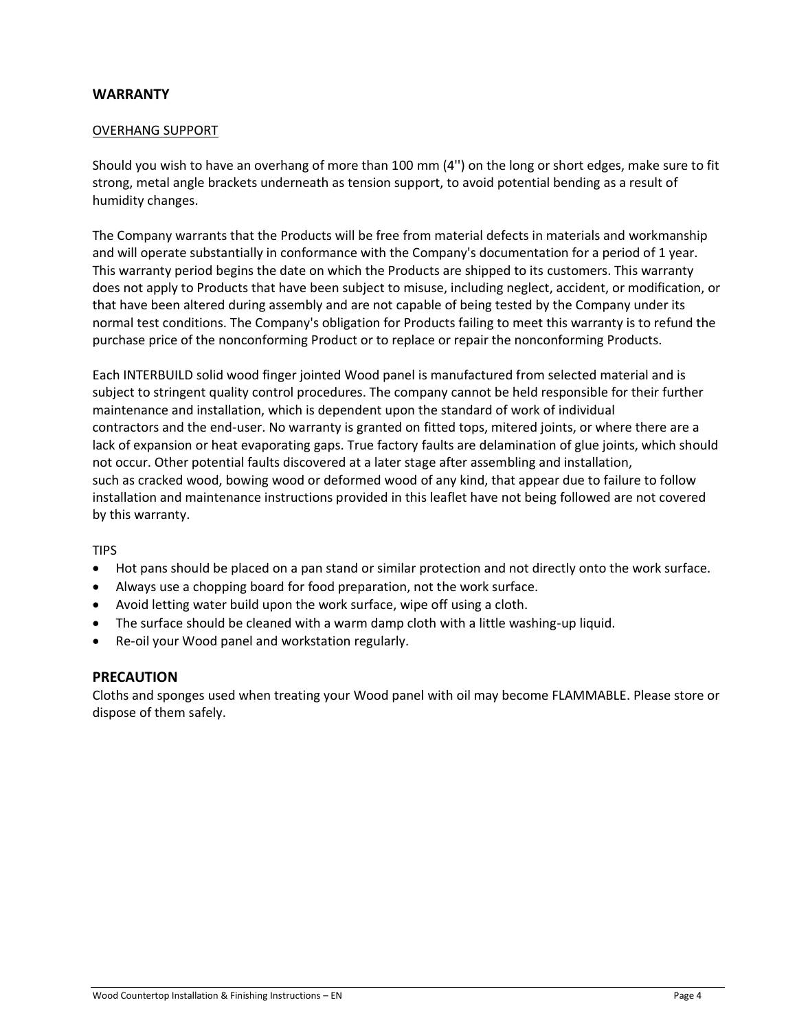### **WARRANTY**

#### OVERHANG SUPPORT

Should you wish to have an overhang of more than 100 mm (4'') on the long or short edges, make sure to fit strong, metal angle brackets underneath as tension support, to avoid potential bending as a result of humidity changes.

The Company warrants that the Products will be free from material defects in materials and workmanship and will operate substantially in conformance with the Company's documentation for a period of 1 year. This warranty period begins the date on which the Products are shipped to its customers. This warranty does not apply to Products that have been subject to misuse, including neglect, accident, or modification, or that have been altered during assembly and are not capable of being tested by the Company under its normal test conditions. The Company's obligation for Products failing to meet this warranty is to refund the purchase price of the nonconforming Product or to replace or repair the nonconforming Products.

Each INTERBUILD solid wood finger jointed Wood panel is manufactured from selected material and is subject to stringent quality control procedures. The company cannot be held responsible for their further maintenance and installation, which is dependent upon the standard of work of individual contractors and the end-user. No warranty is granted on fitted tops, mitered joints, or where there are a lack of expansion or heat evaporating gaps. True factory faults are delamination of glue joints, which should not occur. Other potential faults discovered at a later stage after assembling and installation, such as cracked wood, bowing wood or deformed wood of any kind, that appear due to failure to follow installation and maintenance instructions provided in this leaflet have not being followed are not covered by this warranty.

#### TIPS

- Hot pans should be placed on a pan stand or similar protection and not directly onto the work surface.
- Always use a chopping board for food preparation, not the work surface.
- Avoid letting water build upon the work surface, wipe off using a cloth.
- The surface should be cleaned with a warm damp cloth with a little washing-up liquid.
- Re-oil your Wood panel and workstation regularly.

#### **PRECAUTION**

Cloths and sponges used when treating your Wood panel with oil may become FLAMMABLE. Please store or dispose of them safely.